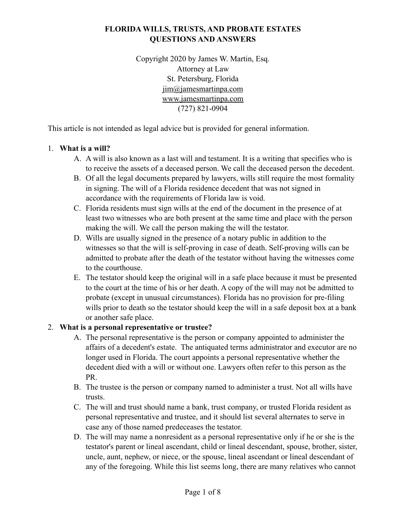## **FLORIDA WILLS, TRUSTS, AND PROBATE ESTATES QUESTIONS AND ANSWERS**

Copyright 2020 by James W. Martin, Esq. Attorney at Law St. Petersburg, Florida [jim@jamesmartinpa.com](mailto:jim@jamesmartinpa.com)  [www.jamesmartinpa.com](http://www.jamesmartinpa.com) (727) 821-0904

This article is not intended as legal advice but is provided for general information.

#### 1. **What is a will?**

- A. A will is also known as a last will and testament. It is a writing that specifies who is to receive the assets of a deceased person. We call the deceased person the decedent.
- B. Of all the legal documents prepared by lawyers, wills still require the most formality in signing. The will of a Florida residence decedent that was not signed in accordance with the requirements of Florida law is void.
- C. Florida residents must sign wills at the end of the document in the presence of at least two witnesses who are both present at the same time and place with the person making the will. We call the person making the will the testator.
- D. Wills are usually signed in the presence of a notary public in addition to the witnesses so that the will is self-proving in case of death. Self-proving wills can be admitted to probate after the death of the testator without having the witnesses come to the courthouse.
- E. The testator should keep the original will in a safe place because it must be presented to the court at the time of his or her death. A copy of the will may not be admitted to probate (except in unusual circumstances). Florida has no provision for pre-filing wills prior to death so the testator should keep the will in a safe deposit box at a bank or another safe place.

### 2. **What is a personal representative or trustee?**

- A. The personal representative is the person or company appointed to administer the affairs of a decedent's estate. The antiquated terms administrator and executor are no longer used in Florida. The court appoints a personal representative whether the decedent died with a will or without one. Lawyers often refer to this person as the PR.
- B. The trustee is the person or company named to administer a trust. Not all wills have trusts.
- C. The will and trust should name a bank, trust company, or trusted Florida resident as personal representative and trustee, and it should list several alternates to serve in case any of those named predeceases the testator.
- D. The will may name a nonresident as a personal representative only if he or she is the testator's parent or lineal ascendant, child or lineal descendant, spouse, brother, sister, uncle, aunt, nephew, or niece, or the spouse, lineal ascendant or lineal descendant of any of the foregoing. While this list seems long, there are many relatives who cannot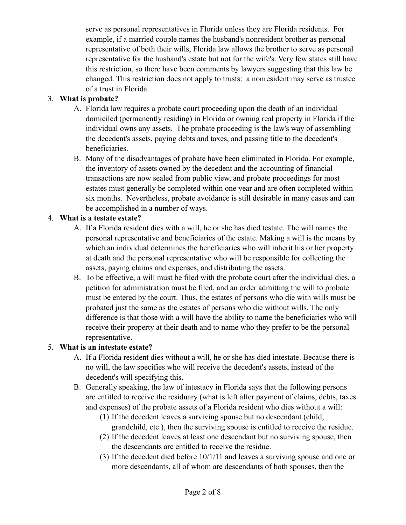serve as personal representatives in Florida unless they are Florida residents. For example, if a married couple names the husband's nonresident brother as personal representative of both their wills, Florida law allows the brother to serve as personal representative for the husband's estate but not for the wife's. Very few states still have this restriction, so there have been comments by lawyers suggesting that this law be changed. This restriction does not apply to trusts: a nonresident may serve as trustee of a trust in Florida.

## 3. **What is probate?**

- A. Florida law requires a probate court proceeding upon the death of an individual domiciled (permanently residing) in Florida or owning real property in Florida if the individual owns any assets. The probate proceeding is the law's way of assembling the decedent's assets, paying debts and taxes, and passing title to the decedent's beneficiaries.
- B. Many of the disadvantages of probate have been eliminated in Florida. For example, the inventory of assets owned by the decedent and the accounting of financial transactions are now sealed from public view, and probate proceedings for most estates must generally be completed within one year and are often completed within six months. Nevertheless, probate avoidance is still desirable in many cases and can be accomplished in a number of ways.

# 4. **What is a testate estate?**

- A. If a Florida resident dies with a will, he or she has died testate. The will names the personal representative and beneficiaries of the estate. Making a will is the means by which an individual determines the beneficiaries who will inherit his or her property at death and the personal representative who will be responsible for collecting the assets, paying claims and expenses, and distributing the assets.
- B. To be effective, a will must be filed with the probate court after the individual dies, a petition for administration must be filed, and an order admitting the will to probate must be entered by the court. Thus, the estates of persons who die with wills must be probated just the same as the estates of persons who die without wills. The only difference is that those with a will have the ability to name the beneficiaries who will receive their property at their death and to name who they prefer to be the personal representative.

### 5. **What is an intestate estate?**

- A. If a Florida resident dies without a will, he or she has died intestate. Because there is no will, the law specifies who will receive the decedent's assets, instead of the decedent's will specifying this.
- B. Generally speaking, the law of intestacy in Florida says that the following persons are entitled to receive the residuary (what is left after payment of claims, debts, taxes and expenses) of the probate assets of a Florida resident who dies without a will:
	- (1) If the decedent leaves a surviving spouse but no descendant (child, grandchild, etc.), then the surviving spouse is entitled to receive the residue.
	- (2) If the decedent leaves at least one descendant but no surviving spouse, then the descendants are entitled to receive the residue.
	- (3) If the decedent died before 10/1/11 and leaves a surviving spouse and one or more descendants, all of whom are descendants of both spouses, then the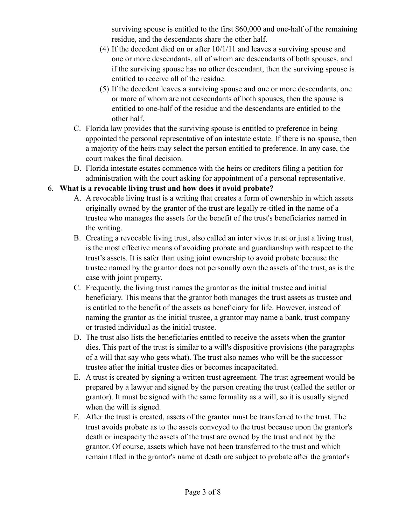surviving spouse is entitled to the first \$60,000 and one-half of the remaining residue, and the descendants share the other half.

- (4) If the decedent died on or after 10/1/11 and leaves a surviving spouse and one or more descendants, all of whom are descendants of both spouses, and if the surviving spouse has no other descendant, then the surviving spouse is entitled to receive all of the residue.
- (5) If the decedent leaves a surviving spouse and one or more descendants, one or more of whom are not descendants of both spouses, then the spouse is entitled to one-half of the residue and the descendants are entitled to the other half.
- C. Florida law provides that the surviving spouse is entitled to preference in being appointed the personal representative of an intestate estate. If there is no spouse, then a majority of the heirs may select the person entitled to preference. In any case, the court makes the final decision.
- D. Florida intestate estates commence with the heirs or creditors filing a petition for administration with the court asking for appointment of a personal representative.

## 6. **What is a revocable living trust and how does it avoid probate?**

- A. A revocable living trust is a writing that creates a form of ownership in which assets originally owned by the grantor of the trust are legally re-titled in the name of a trustee who manages the assets for the benefit of the trust's beneficiaries named in the writing.
- B. Creating a revocable living trust, also called an inter vivos trust or just a living trust, is the most effective means of avoiding probate and guardianship with respect to the trust's assets. It is safer than using joint ownership to avoid probate because the trustee named by the grantor does not personally own the assets of the trust, as is the case with joint property.
- C. Frequently, the living trust names the grantor as the initial trustee and initial beneficiary. This means that the grantor both manages the trust assets as trustee and is entitled to the benefit of the assets as beneficiary for life. However, instead of naming the grantor as the initial trustee, a grantor may name a bank, trust company or trusted individual as the initial trustee.
- D. The trust also lists the beneficiaries entitled to receive the assets when the grantor dies. This part of the trust is similar to a will's dispositive provisions (the paragraphs of a will that say who gets what). The trust also names who will be the successor trustee after the initial trustee dies or becomes incapacitated.
- E. A trust is created by signing a written trust agreement. The trust agreement would be prepared by a lawyer and signed by the person creating the trust (called the settlor or grantor). It must be signed with the same formality as a will, so it is usually signed when the will is signed.
- F. After the trust is created, assets of the grantor must be transferred to the trust. The trust avoids probate as to the assets conveyed to the trust because upon the grantor's death or incapacity the assets of the trust are owned by the trust and not by the grantor. Of course, assets which have not been transferred to the trust and which remain titled in the grantor's name at death are subject to probate after the grantor's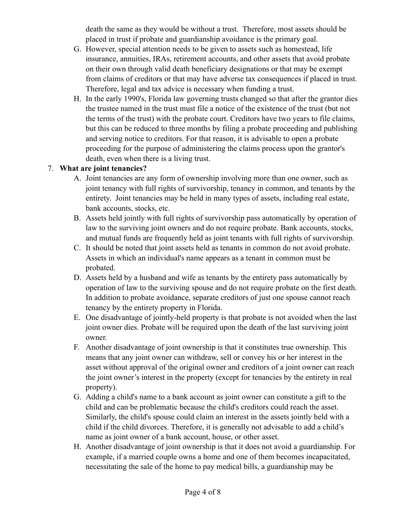death the same as they would be without a trust. Therefore, most assets should be placed in trust if probate and guardianship avoidance is the primary goal.

- G. However, special attention needs to be given to assets such as homestead, life insurance, annuities, IRAs, retirement accounts, and other assets that avoid probate on their own through valid death beneficiary designations or that may be exempt from claims of creditors or that may have adverse tax consequences if placed in trust. Therefore, legal and tax advice is necessary when funding a trust.
- H. In the early 1990's, Florida law governing trusts changed so that after the grantor dies the trustee named in the trust must file a notice of the existence of the trust (but not the terms of the trust) with the probate court. Creditors have two years to file claims, but this can be reduced to three months by filing a probate proceeding and publishing and serving notice to creditors. For that reason, it is advisable to open a probate proceeding for the purpose of administering the claims process upon the grantor's death, even when there is a living trust.

### 7. **What are joint tenancies?**

- A. Joint tenancies are any form of ownership involving more than one owner, such as joint tenancy with full rights of survivorship, tenancy in common, and tenants by the entirety. Joint tenancies may be held in many types of assets, including real estate, bank accounts, stocks, etc.
- B. Assets held jointly with full rights of survivorship pass automatically by operation of law to the surviving joint owners and do not require probate. Bank accounts, stocks, and mutual funds are frequently held as joint tenants with full rights of survivorship.
- C. It should be noted that joint assets held as tenants in common do not avoid probate. Assets in which an individual's name appears as a tenant in common must be probated.
- D. Assets held by a husband and wife as tenants by the entirety pass automatically by operation of law to the surviving spouse and do not require probate on the first death. In addition to probate avoidance, separate creditors of just one spouse cannot reach tenancy by the entirety property in Florida.
- E. One disadvantage of jointly-held property is that probate is not avoided when the last joint owner dies. Probate will be required upon the death of the last surviving joint owner.
- F. Another disadvantage of joint ownership is that it constitutes true ownership. This means that any joint owner can withdraw, sell or convey his or her interest in the asset without approval of the original owner and creditors of a joint owner can reach the joint owner's interest in the property (except for tenancies by the entirety in real property).
- G. Adding a child's name to a bank account as joint owner can constitute a gift to the child and can be problematic because the child's creditors could reach the asset. Similarly, the child's spouse could claim an interest in the assets jointly held with a child if the child divorces. Therefore, it is generally not advisable to add a child's name as joint owner of a bank account, house, or other asset.
- H. Another disadvantage of joint ownership is that it does not avoid a guardianship. For example, if a married couple owns a home and one of them becomes incapacitated, necessitating the sale of the home to pay medical bills, a guardianship may be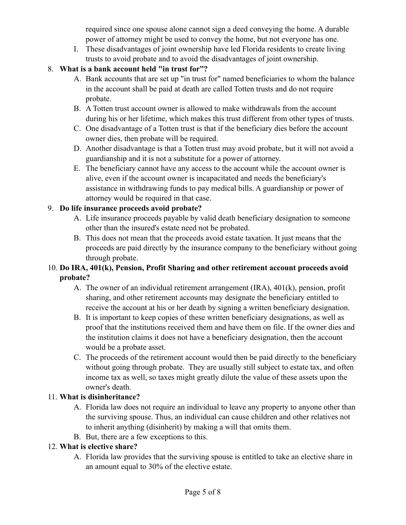required since one spouse alone cannot sign a deed conveying the home. A durable power of attorney might be used to convey the home, but not everyone has one.

I. These disadvantages of joint ownership have led Florida residents to create living trusts to avoid probate and to avoid the disadvantages of joint ownership.

# 8. **What is a bank account held "in trust for"?**

- A. Bank accounts that are set up "in trust for" named beneficiaries to whom the balance in the account shall be paid at death are called Totten trusts and do not require probate.
- B. A Totten trust account owner is allowed to make withdrawals from the account during his or her lifetime, which makes this trust different from other types of trusts.
- C. One disadvantage of a Totten trust is that if the beneficiary dies before the account owner dies, then probate will be required.
- D. Another disadvantage is that a Totten trust may avoid probate, but it will not avoid a guardianship and it is not a substitute for a power of attorney.
- E. The beneficiary cannot have any access to the account while the account owner is alive, even if the account owner is incapacitated and needs the beneficiary's assistance in withdrawing funds to pay medical bills. A guardianship or power of attorney would be required in that case.

# 9. **Do life insurance proceeds avoid probate?**

- A. Life insurance proceeds payable by valid death beneficiary designation to someone other than the insured's estate need not be probated.
- B. This does not mean that the proceeds avoid estate taxation. It just means that the proceeds are paid directly by the insurance company to the beneficiary without going through probate.

## 10. **Do IRA, 401(k), Pension, Profit Sharing and other retirement account proceeds avoid probate?**

- A. The owner of an individual retirement arrangement (IRA), 401(k), pension, profit sharing, and other retirement accounts may designate the beneficiary entitled to receive the account at his or her death by signing a written beneficiary designation.
- B. It is important to keep copies of these written beneficiary designations, as well as proof that the institutions received them and have them on file. If the owner dies and the institution claims it does not have a beneficiary designation, then the account would be a probate asset.
- C. The proceeds of the retirement account would then be paid directly to the beneficiary without going through probate. They are usually still subject to estate tax, and often income tax as well, so taxes might greatly dilute the value of these assets upon the owner's death.

# 11. **What is disinheritance?**

- A. Florida law does not require an individual to leave any property to anyone other than the surviving spouse. Thus, an individual can cause children and other relatives not to inherit anything (disinherit) by making a will that omits them.
- B. But, there are a few exceptions to this.

# 12. **What is elective share?**

A. Florida law provides that the surviving spouse is entitled to take an elective share in an amount equal to 30% of the elective estate.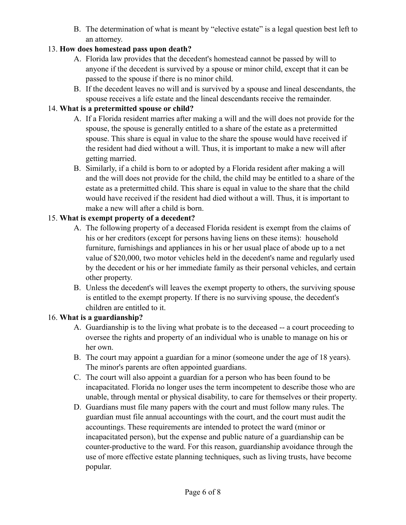B. The determination of what is meant by "elective estate" is a legal question best left to an attorney.

# 13. **How does homestead pass upon death?**

- A. Florida law provides that the decedent's homestead cannot be passed by will to anyone if the decedent is survived by a spouse or minor child, except that it can be passed to the spouse if there is no minor child.
- B. If the decedent leaves no will and is survived by a spouse and lineal descendants, the spouse receives a life estate and the lineal descendants receive the remainder.

# 14. **What is a pretermitted spouse or child?**

- A. If a Florida resident marries after making a will and the will does not provide for the spouse, the spouse is generally entitled to a share of the estate as a pretermitted spouse. This share is equal in value to the share the spouse would have received if the resident had died without a will. Thus, it is important to make a new will after getting married.
- B. Similarly, if a child is born to or adopted by a Florida resident after making a will and the will does not provide for the child, the child may be entitled to a share of the estate as a pretermitted child. This share is equal in value to the share that the child would have received if the resident had died without a will. Thus, it is important to make a new will after a child is born.

# 15. **What is exempt property of a decedent?**

- A. The following property of a deceased Florida resident is exempt from the claims of his or her creditors (except for persons having liens on these items): household furniture, furnishings and appliances in his or her usual place of abode up to a net value of \$20,000, two motor vehicles held in the decedent's name and regularly used by the decedent or his or her immediate family as their personal vehicles, and certain other property.
- B. Unless the decedent's will leaves the exempt property to others, the surviving spouse is entitled to the exempt property. If there is no surviving spouse, the decedent's children are entitled to it.

# 16. **What is a guardianship?**

- A. Guardianship is to the living what probate is to the deceased -- a court proceeding to oversee the rights and property of an individual who is unable to manage on his or her own.
- B. The court may appoint a guardian for a minor (someone under the age of 18 years). The minor's parents are often appointed guardians.
- C. The court will also appoint a guardian for a person who has been found to be incapacitated. Florida no longer uses the term incompetent to describe those who are unable, through mental or physical disability, to care for themselves or their property.
- D. Guardians must file many papers with the court and must follow many rules. The guardian must file annual accountings with the court, and the court must audit the accountings. These requirements are intended to protect the ward (minor or incapacitated person), but the expense and public nature of a guardianship can be counter-productive to the ward. For this reason, guardianship avoidance through the use of more effective estate planning techniques, such as living trusts, have become popular.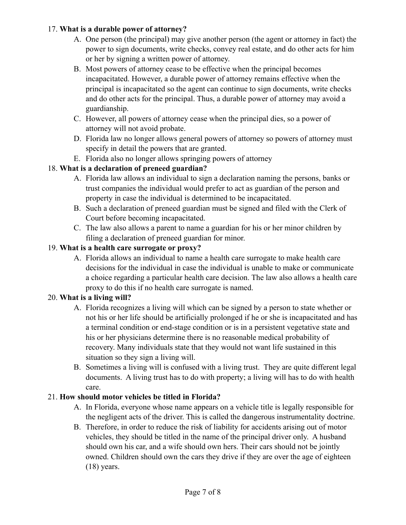### 17. **What is a durable power of attorney?**

- A. One person (the principal) may give another person (the agent or attorney in fact) the power to sign documents, write checks, convey real estate, and do other acts for him or her by signing a written power of attorney.
- B. Most powers of attorney cease to be effective when the principal becomes incapacitated. However, a durable power of attorney remains effective when the principal is incapacitated so the agent can continue to sign documents, write checks and do other acts for the principal. Thus, a durable power of attorney may avoid a guardianship.
- C. However, all powers of attorney cease when the principal dies, so a power of attorney will not avoid probate.
- D. Florida law no longer allows general powers of attorney so powers of attorney must specify in detail the powers that are granted.
- E. Florida also no longer allows springing powers of attorney

### 18. **What is a declaration of preneed guardian?**

- A. Florida law allows an individual to sign a declaration naming the persons, banks or trust companies the individual would prefer to act as guardian of the person and property in case the individual is determined to be incapacitated.
- B. Such a declaration of preneed guardian must be signed and filed with the Clerk of Court before becoming incapacitated.
- C. The law also allows a parent to name a guardian for his or her minor children by filing a declaration of preneed guardian for minor.

#### 19. **What is a health care surrogate or proxy?**

A. Florida allows an individual to name a health care surrogate to make health care decisions for the individual in case the individual is unable to make or communicate a choice regarding a particular health care decision. The law also allows a health care proxy to do this if no health care surrogate is named.

#### 20. **What is a living will?**

- A. Florida recognizes a living will which can be signed by a person to state whether or not his or her life should be artificially prolonged if he or she is incapacitated and has a terminal condition or end-stage condition or is in a persistent vegetative state and his or her physicians determine there is no reasonable medical probability of recovery. Many individuals state that they would not want life sustained in this situation so they sign a living will.
- B. Sometimes a living will is confused with a living trust. They are quite different legal documents. A living trust has to do with property; a living will has to do with health care.

#### 21. **How should motor vehicles be titled in Florida?**

- A. In Florida, everyone whose name appears on a vehicle title is legally responsible for the negligent acts of the driver. This is called the dangerous instrumentality doctrine.
- B. Therefore, in order to reduce the risk of liability for accidents arising out of motor vehicles, they should be titled in the name of the principal driver only. A husband should own his car, and a wife should own hers. Their cars should not be jointly owned. Children should own the cars they drive if they are over the age of eighteen  $(18)$  years.